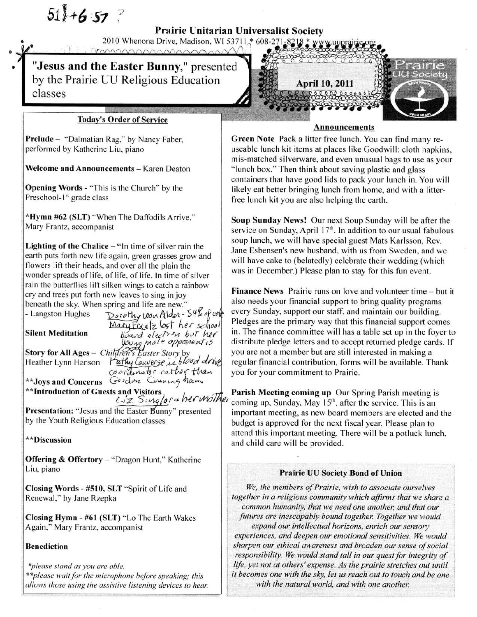$51+6.57$ 

**Prairie Unitarian Universalist Society** 

2010 Whenona Drive, Madison, WI 53711,\* 608-2 mmmmnnnnnnnnn

# "Jesus and the Easter Bunny," presented by the Prairie UU Religious Education classes

# **Today's Order of Service**

Prelude - "Dalmatian Rag," by Nancy Faber, performed by Katherine Liu, piano

Welcome and Announcements - Karen Deaton

**Opening Words - "This is the Church" by the** Preschool-1<sup>st</sup> grade class

\*Hymn #62 (SLT) "When The Daffodils Arrive," Mary Frantz, accompanist

Lighting of the Chalice - "In time of silver rain the earth puts forth new life again, green grasses grow and flowers lift their heads, and over all the plain the wonder spreads of life, of life, of life. In time of silver rain the butterflies lift silken wings to catch a rainbow cry and trees put forth new leaves to sing in joy beneath the sky. When spring and life are new.' - Langston Hughes Dosothy won Alder - 54% of work Mary Frantz lost her school Silent Meditation<br>
youghale opponent is<br>
Story for All Ages - Children's Easter Story by

Heather Lynn Hanson

Mathy Couverse is blood drive coordinator rather than

\*\* Joys and Concerns Gordon Cunning ham \*\*Introduction of Guests and Visitors

Liz Singler = her mother Presentation: "Jesus and the Easter Bunny" presented by the Youth Religious Education classes

\*\*Discussion

**Offering & Offertory - "Dragon Hunt," Katherine** Liu, piano

Closing Words - #510, SLT "Spirit of Life and Renewal," by Jane Rzepka

Closing Hymn - #61 (SLT) "Lo The Earth Wakes Again," Mary Frantz, accompanist

# **Benediction**

\*please stand as you are able. \*\*please wait for the microphone before speaking; this allows those using the assistive listening devices to hear.



# **Announcements**

Green Note Pack a litter free lunch. You can find many reuseable lunch kit items at places like Goodwill: cloth napkins, mis-matched silverware, and even unusual bags to use as your "lunch box." Then think about saving plastic and glass containers that have good lids to pack your lunch in. You will likely eat better bringing lunch from home, and with a litterfree lunch kit you are also helping the earth.

Soup Sunday News! Our next Soup Sunday will be after the service on Sunday, April 17<sup>th</sup>. In addition to our usual fabulous soup lunch, we will have special guest Mats Karlsson, Rev. Jane Esbensen's new husband, with us from Sweden, and we will have cake to (belatedly) celebrate their wedding (which was in December.) Please plan to stay for this fun event.

Finance News Prairie runs on love and volunteer time – but it also needs your financial support to bring quality programs every Sunday, support our staff, and maintain our building. Pledges are the primary way that this financial support comes in. The finance committee will has a table set up in the fover to distribute pledge letters and to accept returned pledge cards. If you are not a member but are still interested in making a regular financial contribution, forms will be available. Thank you for your commitment to Prairie.

Parish Meeting coming up Our Spring Parish meeting is coming up, Sunday, May 15<sup>th</sup>, after the service. This is an important meeting, as new board members are elected and the budget is approved for the next fiscal year. Please plan to attend this important meeting. There will be a potluck lunch, and child care will be provided.

# **Prairie UU Society Bond of Union**

We, the members of Prairie, wish to associate ourselves together in a religious community which affirms that we share a common humanity, that we need one another, and that our futures are inescapably bound together. Together we would expand our intellectual horizons, enrich our sensory experiences, and deepen our emotional sensitivities. We would sharpen our ethical awareness and broaden our sense of social responsibility. We would stand tall in our quest for integrity of life, yet not at others' expense. As the prairie stretches out until it becomes one with the sky, let us reach out to touch and be one with the natural world, and with one another.